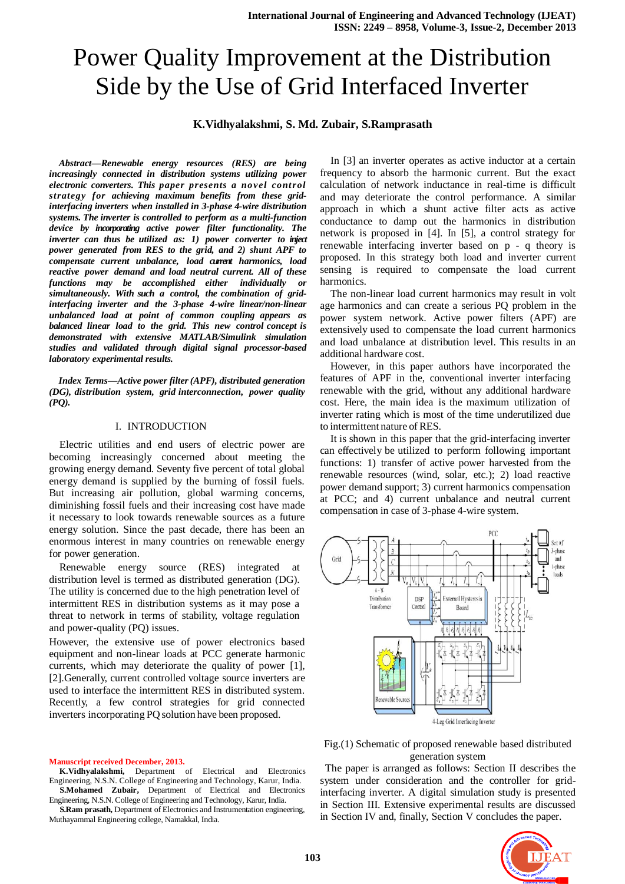# Power Quality Improvement at the Distribution Side by the Use of Grid Interfaced Inverter

# **K.Vidhyalakshmi, S. Md. Zubair, S.Ramprasath**

*Abstract—Renewable energy resources (RES) are being increasingly connected in distribution systems utilizing power electronic converters. This paper presents a novel control strategy for achieving maximum benefits from these gridinterfacing inverters when installed in 3-phase 4-wire distribution systems. The inverter is controlled to perform as a multi-function device by incorporating active power filter functionality. The inverter can thus be utilized as: 1) power converter to inject power generated from RES to the grid, and 2) shunt APF to compensate current unbalance, load current harmonics, load reactive power demand and load neutral current. All of these functions may be accomplished either individually or simultaneously. With such a control, the combination of gridinterfacing inverter and the 3-phase 4-wire linear/non-linear unbalanced load at point of common coupling appears as balanced linear load to the grid. This new control concept is demonstrated with extensive MATLAB/Simulink simulation studies and validated through digital signal processor-based laboratory experimental results.*

*Index Terms—Active power filter(APF), distributed generation (DG), distribution system, grid interconnection, power quality (PQ).*

#### I. INTRODUCTION

Electric utilities and end users of electric power are becoming increasingly concerned about meeting the growing energy demand. Seventy five percent of total global energy demand is supplied by the burning of fossil fuels. But increasing air pollution, global warming concerns, diminishing fossil fuels and their increasing cost have made it necessary to look towards renewable sources as a future energy solution. Since the past decade, there has been an enormous interest in many countries on renewable energy for power generation.

Renewable energy source (RES) integrated at distribution level is termed as distributed generation (DG). The utility is concerned due to the high penetration level of intermittent RES in distribution systems as it may pose a threat to network in terms of stability, voltage regulation and power-quality (PQ) issues.

However, the extensive use of power electronics based equipment and non-linear loads at PCC generate harmonic currents, which may deteriorate the quality of power [1], [2].Generally, current controlled voltage source inverters are used to interface the intermittent RES in distributed system. Recently, a few control strategies for grid connected inverters incorporating PQ solution have been proposed.

#### **Manuscript received December, 2013.**

 **K.Vidhyalakshmi,** Department of Electrical and Electronics Engineering, N.S.N. College of Engineering and Technology, Karur, India. **S.Mohamed Zubair,** Department of Electrical and Electronics

Engineering, N.S.N. College of Engineering and Technology, Karur, India. **S.Ram prasath,** Department of Electronics and Instrumentation engineering, Muthayammal Engineering college, Namakkal, India.

In [3] an inverter operates as active inductor at a certain frequency to absorb the harmonic current. But the exact calculation of network inductance in real-time is difficult and may deteriorate the control performance. A similar approach in which a shunt active filter acts as active conductance to damp out the harmonics in distribution network is proposed in [4]. In [5], a control strategy for renewable interfacing inverter based on p - q theory is proposed. In this strategy both load and inverter current sensing is required to compensate the load current harmonics.

The non-linear load current harmonics may result in volt age harmonics and can create a serious PQ problem in the power system network. Active power filters (APF) are extensively used to compensate the load current harmonics and load unbalance at distribution level. This results in an additional hardware cost.

However, in this paper authors have incorporated the features of APF in the, conventional inverter interfacing renewable with the grid, without any additional hardware cost. Here, the main idea is the maximum utilization of inverter rating which is most of the time underutilized due to intermittent nature of RES.

It is shown in this paper that the grid-interfacing inverter can effectively be utilized to perform following important functions: 1) transfer of active power harvested from the renewable resources (wind, solar, etc.); 2) load reactive power demand support; 3) current harmonics compensation at PCC; and 4) current unbalance and neutral current compensation in case of 3-phase 4-wire system.



Fig.(1) Schematic of proposed renewable based distributed generation system

 The paper is arranged as follows: Section II describes the system under consideration and the controller for gridinterfacing inverter. A digital simulation study is presented in Section III. Extensive experimental results are discussed in Section IV and, finally, Section V concludes the paper.

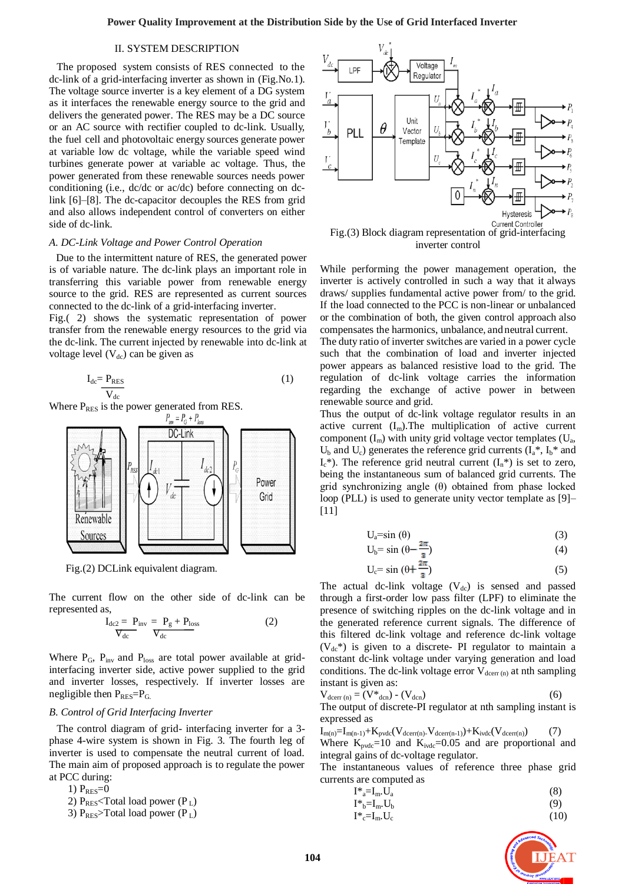## II. SYSTEM DESCRIPTION

 The proposed system consists of RES connected to the dc-link of a grid-interfacing inverter as shown in (Fig.No.1). The voltage source inverter is a key element of a DG system as it interfaces the renewable energy source to the grid and delivers the generated power. The RES may be a DC source or an AC source with rectifier coupled to dc-link. Usually, the fuel cell and photovoltaic energy sources generate power at variable low dc voltage, while the variable speed wind turbines generate power at variable ac voltage. Thus, the power generated from these renewable sources needs power conditioning (i.e., dc/dc or ac/dc) before connecting on dclink [6]–[8]. The dc-capacitor decouples the RES from grid and also allows independent control of converters on either side of dc-link.

## *A. DC-Link Voltage and Power Control Operation*

Due to the intermittent nature of RES, the generated power is of variable nature. The dc-link plays an important role in transferring this variable power from renewable energy source to the grid. RES are represented as current sources connected to the dc-link of a grid-interfacing inverter.

Fig.( 2) shows the systematic representation of power transfer from the renewable energy resources to the grid via the dc-link. The current injected by renewable into dc-link at voltage level  $(V_{dc})$  can be given as

$$
I_{dc} = P_{RES} \over V_{dc}
$$
 (1)



Fig.(2) DCLink equivalent diagram.

The current flow on the other side of dc-link can be represented as,

$$
I_{dc2} = P_{inv} = P_g + P_{loss}
$$
  

$$
\nabla_{dc} \qquad \nabla_{dc}
$$
 (2)

Where  $P_G$ ,  $P_{inv}$  and  $P_{loss}$  are total power available at gridinterfacing inverter side, active power supplied to the grid and inverter losses, respectively. If inverter losses are negligible then  $P_{RES}=P_G$ .

## *B. Control of Grid Interfacing Inverter*

 The control diagram of grid- interfacing inverter for a 3 phase 4-wire system is shown in Fig. 3. The fourth leg of inverter is used to compensate the neutral current of load. The main aim of proposed approach is to regulate the power at PCC during:

1)  $P_{RES}=0$ 

2)  $P<sub>RES</sub>$ Total load power ( $P<sub>L</sub>$ )

3)  $P_{RES}$ >Total load power (P<sub>L</sub>)



While performing the power management operation, the inverter is actively controlled in such a way that it always draws/ supplies fundamental active power from/ to the grid. If the load connected to the PCC is non-linear or unbalanced or the combination of both, the given control approach also compensates the harmonics, unbalance, andneutral current.

The duty ratio of inverter switches are varied in a power cycle such that the combination of load and inverter injected power appears as balanced resistive load to the grid. The regulation of dc-link voltage carries the information regarding the exchange of active power in between renewable source and grid.

Thus the output of dc-link voltage regulator results in an active current  $(I_m)$ . The multiplication of active current component  $(I_m)$  with unity grid voltage vector templates  $(U_a,$  $U_b$  and  $U_c$ ) generates the reference grid currents  $(I_a^*, I_b^*$  and  $I_c^*$ ). The reference grid neutral current  $(I_n^*)$  is set to zero, being the instantaneous sum of balanced grid currents. The grid synchronizing angle (θ) obtained from phase locked loop (PLL) is used to generate unity vector template as [9]–  $[11]$ 

$$
U_a = \sin(\theta) \tag{3}
$$

$$
U_b = \sin\left(\theta - \frac{2\pi}{3}\right) \tag{4}
$$

$$
U_c = \sin\left(\theta + \frac{2\pi}{3}\right) \tag{5}
$$

The actual dc-link voltage  $(V_{dc})$  is sensed and passed through a first-order low pass filter (LPF) to eliminate the presence of switching ripples on the dc-link voltage and in the generated reference current signals. The difference of this filtered dc-link voltage and reference dc-link voltage  $(V_{dc}^*)$  is given to a discrete- PI regulator to maintain a constant dc-link voltage under varying generation and load conditions. The dc-link voltage error  $V_{\text{deerr (n)}}$  at nth sampling instant is given as:

$$
V_{\text{deerr (n)}} = (V^*_{\text{den}}) - (V_{\text{den}}) \tag{6}
$$

The output of discrete-PI regulator at nth sampling instant is expressed as

 $I_{m(n)}=I_{m(n-1)}+K_{pvdc}(V_{deerr(n)}\_V_{deerr(n-1)})+K_{ivdc}(V_{deerr(n)})$  (7) Where  $K_{pvdc}=10$  and  $K_{ivdc}=0.05$  and are proportional and integral gains of dc-voltage regulator.

The instantaneous values of reference three phase grid currents are computed as

$$
I^*_{a} = I_m \cdot U_a \tag{8}
$$

$$
\begin{aligned} \mathbf{I}^*_{\mathbf{b}} = \mathbf{I}_{\mathbf{m}}.\mathbf{U}_{\mathbf{b}} \end{aligned} \tag{9}
$$

$$
\mathbf{I}^*_{\mathbf{c}} = \mathbf{I}_{\mathbf{m}}.\mathbf{U}_{\mathbf{c}} \tag{10}
$$

$$
=I_{m}.U_{c}
$$
 (10)

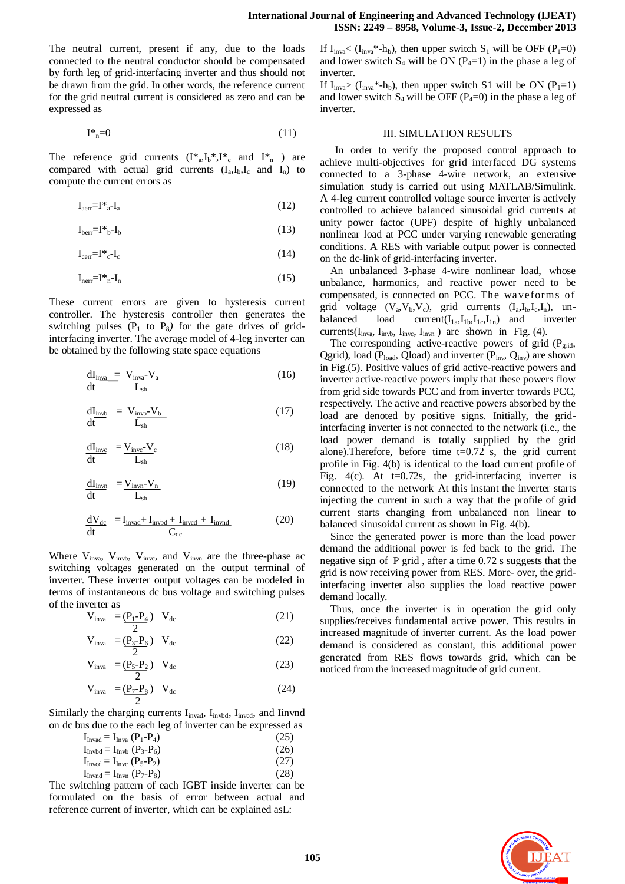The neutral current, present if any, due to the loads connected to the neutral conductor should be compensated by forth leg of grid-interfacing inverter and thus should not be drawn from the grid. In other words, the reference current for the grid neutral current is considered as zero and can be expressed as

$$
\mathbf{I}^*_{\mathbf{n}} = 0 \tag{11}
$$

The reference grid currents  $(I^*_{a}I_b^*, I^*_{c}$  and  $I^*_{n}$  ) are compared with actual grid currents  $(I_a, I_b, I_c$  and  $I_n)$  to compute the current errors as

$$
I_{aerr} = I^* a - I_a \tag{12}
$$

$$
I_{\text{bern}} = I^*{}_{b} - I_b \tag{13}
$$

$$
I_{\text{cern}} = I^* \cdot I_c \tag{14}
$$

$$
I_{\text{ner}} = I^*_{n} - I_n \tag{15}
$$

These current errors are given to hysteresis current controller. The hysteresis controller then generates the switching pulses  $(P_1$  to  $P_8$ ) for the gate drives of gridinterfacing inverter. The average model of 4-leg inverter can be obtained by the following state space equations

$$
\frac{dI_{\text{in}_{\mathbf{va}}} = V_{\text{in}_{\mathbf{va}}} - V_{\text{a}}}{L_{\text{sh}}} \tag{16}
$$

$$
\frac{dI_{\text{invb}}}{dt} = V_{\text{invb}} - V_{\text{b}} \tag{17}
$$

$$
\frac{dI_{\text{invc}}}{dt} = \frac{V_{\text{invc}} - V_{\text{c}}}{L_{\text{sh}}} \tag{18}
$$

$$
\frac{dI_{inyn}}{dt} = \frac{V_{invn} - V_n}{L_{sh}}
$$
\n(19)

$$
\frac{dV_{dc}}{dt} = I_{\text{invad}} + I_{\text{invbd}} + I_{\text{invcd}} + I_{\text{invnd}}
$$
(20)

Where  $V_{inva}$ ,  $V_{invb}$ ,  $V_{invc}$ , and  $V_{invn}$  are the three-phase ac switching voltages generated on the output terminal of inverter. These inverter output voltages can be modeled in terms of instantaneous dc bus voltage and switching pulses of the inverter as

$$
V_{\text{inva}} = \frac{(P_1 - P_4)}{2} \quad V_{\text{dc}} \tag{21}
$$

$$
V_{\text{inva}} = \frac{(P_3 - P_6)}{2} \quad V_{\text{dc}} \tag{22}
$$

$$
V_{\text{inva}} = \frac{(P_5 - P_2)}{2} V_{\text{dc}}
$$
 (23)

$$
V_{\text{inva}} = \underbrace{(P_7 - P_8)}_{2} \quad V_{dc} \tag{24}
$$

Similarly the charging currents  $I_{invad}$ ,  $I_{invbd}$ ,  $I_{invcd}$ , and Iinvnd on dc bus due to the each leg of inverter can be expressed as

| $I_{\text{Invad}} = I_{\text{Inva}} (P_1 - P_4)$ | (25) |
|--------------------------------------------------|------|
| $I_{\text{Invbd}} = I_{\text{Invb}} (P_3 - P_6)$ | (26) |

$$
I_{\text{Inved}} = I_{\text{Inve}} (P_5 - P_2) \tag{27}
$$

 $I_{\text{Invnd}} = I_{\text{Inv}} (P_7 - P_8)$  (28)

The switching pattern of each IGBT inside inverter can be formulated on the basis of error between actual and reference current of inverter, which can be explained asL:

# If  $I_{\text{inva}} < (I_{\text{inva}}^*$ -h<sub>b</sub>), then upper switch  $S_1$  will be OFF (P<sub>1</sub>=0) and lower switch  $S_4$  will be ON ( $P_4=1$ ) in the phase a leg of inverter.

If  $I_{\text{inv}_a}$  ( $I_{\text{inv}_a}$ \*-h<sub>b</sub>), then upper switch S1 will be ON ( $P_1$ =1) and lower switch  $S_4$  will be OFF ( $P_4=0$ ) in the phase a leg of inverter.

# III. SIMULATION RESULTS

In order to verify the proposed control approach to achieve multi-objectives for grid interfaced DG systems connected to a 3-phase 4-wire network, an extensive simulation study is carried out using MATLAB/Simulink. A 4-leg current controlled voltage source inverter is actively controlled to achieve balanced sinusoidal grid currents at unity power factor (UPF) despite of highly unbalanced nonlinear load at PCC under varying renewable generating conditions. A RES with variable output power is connected on the dc-link of grid-interfacing inverter.

An unbalanced 3-phase 4-wire nonlinear load, whose unbalance, harmonics, and reactive power need to be compensated, is connected on PCC. The wa veforms of grid voltage  $(V_a, V_b, V_c)$ , grid currents  $(I_a, I_b, I_c, I_n)$ , unbalanced load current( $I_{1a}$ , $I_{1b}$ , $I_{1c}$ , $I_{1n}$ ) and inverter currents( $I_{inva}$ ,  $I_{invb}$ ,  $I_{invc}$ ,  $I_{invn}$ ) are shown in Fig. (4).

The corresponding active-reactive powers of grid  $(P_{grid},$ Qgrid), load ( $P_{load}$ , Qload) and inverter ( $P_{inv}$ ,  $Q_{inv}$ ) are shown in Fig.(5). Positive values of grid active-reactive powers and inverter active-reactive powers imply that these powers flow from grid side towards PCC and from inverter towards PCC, respectively. The active and reactive powers absorbed by the load are denoted by positive signs. Initially, the gridinterfacing inverter is not connected to the network (i.e., the load power demand is totally supplied by the grid alone).Therefore, before time  $t=0.72$  s, the grid current profile in Fig. 4(b) is identical to the load current profile of Fig. 4(c). At  $t=0.72$ s, the grid-interfacing inverter is connected to the network At this instant the inverter starts injecting the current in such a way that the profile of grid current starts changing from unbalanced non linear to balanced sinusoidal current as shown in Fig. 4(b).

Since the generated power is more than the load power demand the additional power is fed back to the grid. The negative sign of P grid , after a time 0.72 s suggests that the grid is now receiving power from RES. More- over, the gridinterfacing inverter also supplies the load reactive power demand locally.

Thus, once the inverter is in operation the grid only supplies/receives fundamental active power. This results in increased magnitude of inverter current. As the load power demand is considered as constant, this additional power generated from RES flows towards grid, which can be noticed from the increased magnitude of grid current.

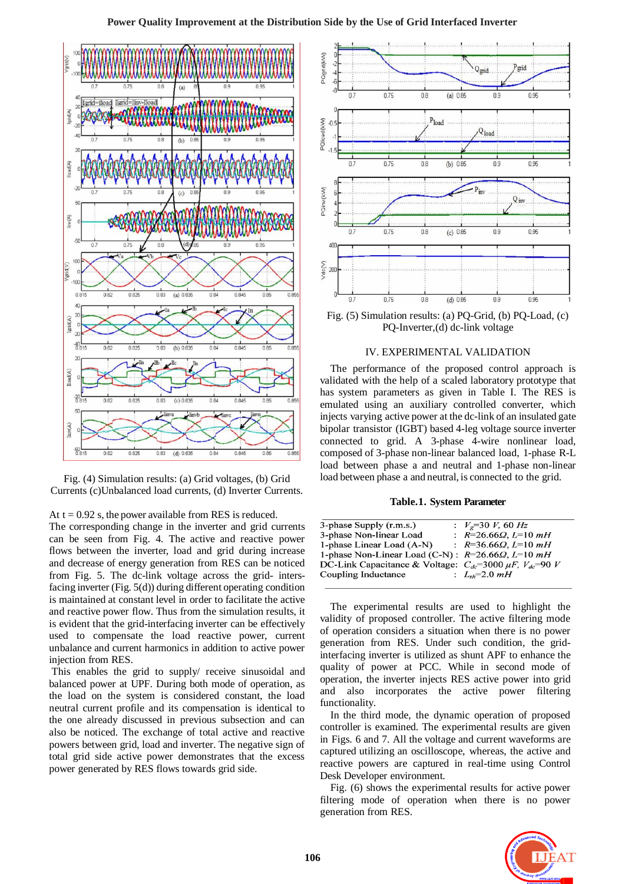



## At  $t = 0.92$  s, the power available from RES is reduced.

The corresponding change in the inverter and grid currents can be seen from Fig. 4. The active and reactive power flows between the inverter, load and grid during increase and decrease of energy generation from RES can be noticed from Fig. 5. The dc-link voltage across the grid- intersfacing inverter (Fig. 5(d)) during different operating condition is maintained at constant level in order to facilitate the active and reactive power flow. Thus from the simulation results, it is evident that the grid-interfacing inverter can be effectively used to compensate the load reactive power, current unbalance and current harmonics in addition to active power injection from RES.

This enables the grid to supply/ receive sinusoidal and balanced power at UPF. During both mode of operation, as the load on the system is considered constant, the load neutral current profile and its compensation is identical to the one already discussed in previous subsection and can also be noticed. The exchange of total active and reactive powers between grid, load and inverter. The negative sign of total grid side active power demonstrates that the excess power generated by RES flows towards grid side.



Fig. (5) Simulation results: (a) PQ-Grid, (b) PQ-Load, (c) PQ-Inverter,(d) dc-link voltage

### IV. EXPERIMENTAL VALIDATION

The performance of the proposed control approach is validated with the help of a scaled laboratory prototype that has system parameters as given in Table I. The RES is emulated using an auxiliary controlled converter, which injects varying active power at the dc-link of an insulated gate bipolar transistor (IGBT) based 4-leg voltage source inverter connected to grid. A 3-phase 4-wire nonlinear load, composed of 3-phase non-linear balanced load, 1-phase R-L load between phase a and neutral and 1-phase non-linear load between phase a and neutral, is connected to the grid.

### **Table.1. System Parameter**

| 3-phase Supply (r.m.s.)                                               | : $V_e = 30 V$ , 60 Hz        |
|-----------------------------------------------------------------------|-------------------------------|
| 3-phase Non-linear Load                                               | : $R=26.66\Omega$ , $L=10$ mH |
| 1-phase Linear Load (A-N)                                             | : $R=36.66\Omega$ , $L=10$ mH |
| 1-phase Non-Linear Load (C-N) : $R=26.66\Omega$ , $L=10$ mH           |                               |
| DC-Link Capacitance & Voltage: $C_{dc}$ =3000 $\mu$ F, $V_{dc}$ =90 V |                               |
| Coupling Inductance                                                   | : $L_{sh} = 2.0 \, mH$        |
|                                                                       |                               |

The experimental results are used to highlight the validity of proposed controller. The active filtering mode of operation considers a situation when there is no power generation from RES. Under such condition, the gridinterfacing inverter is utilized as shunt APF to enhance the quality of power at PCC. While in second mode of operation, the inverter injects RES active power into grid and also incorporates the active power filtering functionality.

In the third mode, the dynamic operation of proposed controller is examined. The experimental results are given in Figs. 6 and 7. All the voltage and current waveforms are captured utilizing an oscilloscope, whereas, the active and reactive powers are captured in real-time using Control Desk Developer environment.

Fig. (6) shows the experimental results for active power filtering mode of operation when there is no power generation from RES.

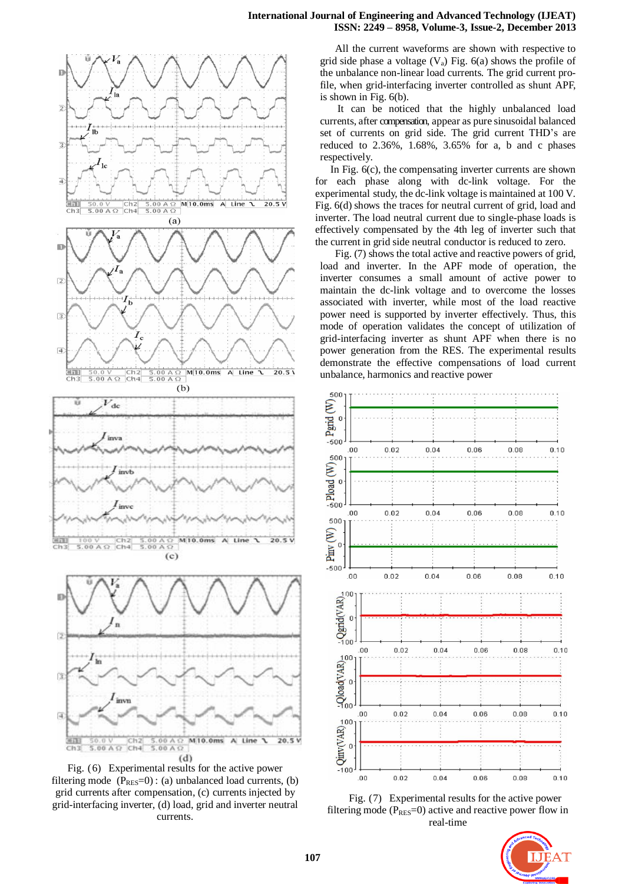## **International Journal of Engineering and Advanced Technology (IJEAT) ISSN: 2249 – 8958, Volume-3, Issue-2, December 2013**



Fig. (6) Experimental results for the active power filtering mode  $(P_{RES}=0)$ : (a) unbalanced load currents, (b) grid currents after compensation, (c) currents injected by grid-interfacing inverter, (d) load, grid and inverter neutral currents.

All the current waveforms are shown with respective to grid side phase a voltage  $(V_a)$  Fig. 6(a) shows the profile of the unbalance non-linear load currents. The grid current profile, when grid-interfacing inverter controlled as shunt APF, is shown in Fig. 6(b).

It can be noticed that the highly unbalanced load currents, after compensation, appear as pure sinusoidal balanced set of currents on grid side. The grid current THD's are reduced to 2.36%, 1.68%, 3.65% for a, b and c phases respectively.

In Fig. 6(c), the compensating inverter currents are shown for each phase along with dc-link voltage. For the experimental study, the dc-link voltage is maintained at 100 V. Fig. 6(d) shows the traces for neutral current of grid, load and inverter. The load neutral current due to single-phase loads is effectively compensated by the 4th leg of inverter such that the current in grid side neutral conductor is reduced to zero.

Fig. (7) shows the total active and reactive powers of grid, load and inverter. In the APF mode of operation, the inverter consumes a small amount of active power to maintain the dc-link voltage and to overcome the losses associated with inverter, while most of the load reactive power need is supported by inverter effectively. Thus, this mode of operation validates the concept of utilization of grid-interfacing inverter as shunt APF when there is no power generation from the RES. The experimental results demonstrate the effective compensations of load current unbalance, harmonics and reactive power



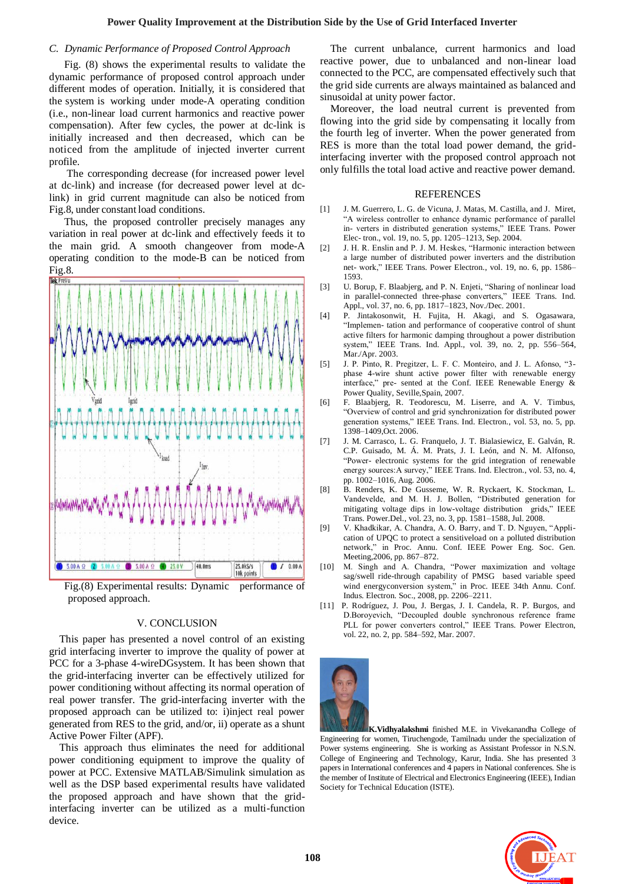## *C. Dynamic Performance of Proposed Control Approach*

Fig. (8) shows the experimental results to validate the dynamic performance of proposed control approach under different modes of operation. Initially, it is considered that the system is working under mode-A operating condition (i.e., non-linear load current harmonics and reactive power compensation). After few cycles, the power at dc-link is initially increased and then decreased, which can be noticed from the amplitude of injected inverter current profile.

The corresponding decrease (for increased power level at dc-link) and increase (for decreased power level at dclink) in grid current magnitude can also be noticed from Fig.8, under constant load conditions.

Thus, the proposed controller precisely manages any variation in real power at dc-link and effectively feeds it to the main grid. A smooth changeover from mode-A operating condition to the mode-B can be noticed from Fig.8.



Fig.(8) Experimental results: Dynamic performance of proposed approach.

## V. CONCLUSION

This paper has presented a novel control of an existing grid interfacing inverter to improve the quality of power at PCC for a 3-phase 4-wireDGsystem. It has been shown that the grid-interfacing inverter can be effectively utilized for power conditioning without affecting its normal operation of real power transfer. The grid-interfacing inverter with the proposed approach can be utilized to: i)inject real power generated from RES to the grid, and/or, ii) operate as a shunt Active Power Filter (APF).

This approach thus eliminates the need for additional power conditioning equipment to improve the quality of power at PCC. Extensive MATLAB/Simulink simulation as well as the DSP based experimental results have validated the proposed approach and have shown that the gridinterfacing inverter can be utilized as a multi-function device.

The current unbalance, current harmonics and load reactive power, due to unbalanced and non-linear load connected to the PCC, are compensated effectively such that the grid side currents are always maintained as balanced and sinusoidal at unity power factor.

Moreover, the load neutral current is prevented from flowing into the grid side by compensating it locally from the fourth leg of inverter. When the power generated from RES is more than the total load power demand, the gridinterfacing inverter with the proposed control approach not only fulfills the total load active and reactive power demand.

## REFERENCES

- [1] J. M. Guerrero, L. G. de Vicuna, J. Matas, M. Castilla, and J. Miret, "A wireless controller to enhance dynamic performance of parallel in- verters in distributed generation systems," IEEE Trans. Power Elec- tron., vol. 19, no. 5, pp. 1205–1213, Sep. 2004.
- [2] J. H. R. Enslin and P. J. M. Heskes, "Harmonic interaction between a large number of distributed power inverters and the distribution net- work," IEEE Trans. Power Electron., vol. 19, no. 6, pp. 1586– 1593.
- [3] U. Borup, F. Blaabjerg, and P. N. Enjeti, "Sharing of nonlinear load in parallel-connected three-phase converters," IEEE Trans. Ind. Appl., vol. 37, no. 6, pp. 1817–1823, Nov./Dec. 2001.
- [4] P. Jintakosonwit, H. Fujita, H. Akagi, and S. Ogasawara, "Implemen- tation and performance of cooperative control of shunt active filters for harmonic damping throughout a power distribution system," IEEE Trans. Ind. Appl., vol. 39, no. 2, pp. 556–564, Mar./Apr. 2003.
- [5] J. P. Pinto, R. Pregitzer, L. F. C. Monteiro, and J. L. Afonso, "3phase 4-wire shunt active power filter with renewable energy interface," pre- sented at the Conf. IEEE Renewable Energy & Power Quality, Seville,Spain, 2007.
- [6] F. Blaabjerg, R. Teodorescu, M. Liserre, and A. V. Timbus, "Overview of control and grid synchronization for distributed power generation systems," IEEE Trans. Ind. Electron., vol. 53, no. 5, pp. 1398–1409,Oct. 2006.
- [7] J. M. Carrasco, L. G. Franquelo, J. T. Bialasiewicz, E. Galván, R. C.P. Guisado, M. Á. M. Prats, J. I. León, and N. M. Alfonso, "Power- electronic systems for the grid integration of renewable energy sources:A survey," IEEE Trans. Ind. Electron., vol. 53, no. 4, pp. 1002–1016, Aug. 2006.
- [8] B. Renders, K. De Gusseme, W. R. Ryckaert, K. Stockman, L. Vandevelde, and M. H. J. Bollen, "Distributed generation for mitigating voltage dips in low-voltage distribution grids," IEEE Trans. Power.Del., vol. 23, no. 3, pp. 1581–1588, Jul. 2008.
- [9] V. Khadkikar, A. Chandra, A. O. Barry, and T. D. Nguyen, "Application of UPQC to protect a sensitiveload on a polluted distribution network," in Proc. Annu. Conf. IEEE Power Eng. Soc. Gen. Meeting,2006, pp. 867–872.
- [10] M. Singh and A. Chandra, "Power maximization and voltage sag/swell ride-through capability of PMSG based variable speed wind energyconversion system," in Proc. IEEE 34th Annu. Conf. Indus. Electron. Soc., 2008, pp. 2206–2211.
- [11] P. Rodríguez, J. Pou, J. Bergas, J. I. Candela, R. P. Burgos, and D.Boroyevich, "Decoupled double synchronous reference frame PLL for power converters control," IEEE Trans. Power Electron, vol. 22, no. 2, pp. 584–592, Mar. 2007.



**K.Vidhyalakshmi** finished M.E. in Vivekanandha College of Engineering for women, Tiruchengode, Tamilnadu under the specialization of Power systems engineering. She is working as Assistant Professor in N.S.N. College of Engineering and Technology, Karur, India. She has presented 3 papers in International conferences and 4 papers in National conferences. She is the member of Institute of Electrical and Electronics Engineering (IEEE), Indian Society for Technical Education (ISTE).